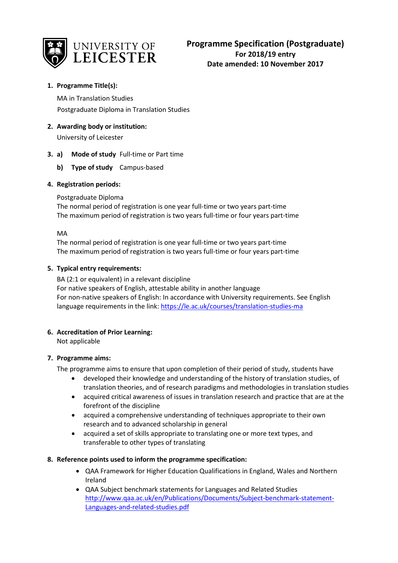

# **1. Programme Title(s):**

MA in Translation Studies Postgraduate Diploma in Translation Studies

**2. Awarding body or institution:**

University of Leicester

# **3. a) Mode of study** Full-time or Part time

**b) Type of study** Campus-based

### **4. Registration periods:**

Postgraduate Diploma

The normal period of registration is one year full-time or two years part-time The maximum period of registration is two years full-time or four years part-time

MA

The normal period of registration is one year full-time or two years part-time The maximum period of registration is two years full-time or four years part-time

### **5. Typical entry requirements:**

BA (2:1 or equivalent) in a relevant discipline For native speakers of English, attestable ability in another language For non-native speakers of English: In accordance with University requirements. See English language requirements in the link[: https://le.ac.uk/courses/translation-studies-ma](https://le.ac.uk/courses/translation-studies-ma)

### **6. Accreditation of Prior Learning:**

Not applicable

### **7. Programme aims:**

The programme aims to ensure that upon completion of their period of study, students have

- developed their knowledge and understanding of the history of translation studies, of translation theories, and of research paradigms and methodologies in translation studies
- acquired critical awareness of issues in translation research and practice that are at the forefront of the discipline
- acquired a comprehensive understanding of techniques appropriate to their own research and to advanced scholarship in general
- acquired a set of skills appropriate to translating one or more text types, and transferable to other types of translating

### **8. Reference points used to inform the programme specification:**

- QAA Framework for Higher Education Qualifications in England, Wales and Northern Ireland
- QAA Subject benchmark statements for Languages and Related Studies [http://www.qaa.ac.uk/en/Publications/Documents/Subject-benchmark-statement-](http://www.qaa.ac.uk/en/Publications/Documents/Subject-benchmark-statement-Languages-and-related-studies.pdf)[Languages-and-related-studies.pdf](http://www.qaa.ac.uk/en/Publications/Documents/Subject-benchmark-statement-Languages-and-related-studies.pdf)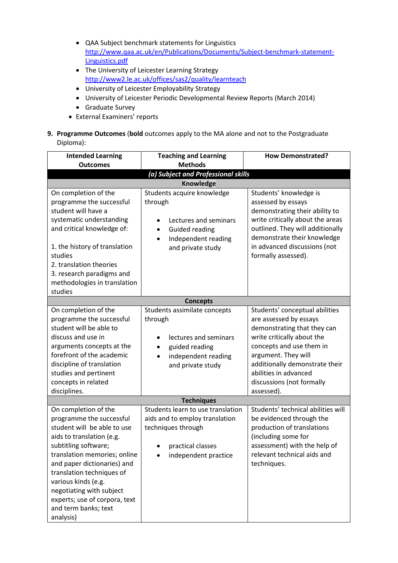- QAA Subject benchmark statements for Linguistics [http://www.qaa.ac.uk/en/Publications/Documents/Subject-benchmark-statement-](http://www.qaa.ac.uk/en/Publications/Documents/Subject-benchmark-statement-Linguistics.pdf)[Linguistics.pdf](http://www.qaa.ac.uk/en/Publications/Documents/Subject-benchmark-statement-Linguistics.pdf)
- The University of Leicester Learning Strategy <http://www2.le.ac.uk/offices/sas2/quality/learnteach>
- University of Leicester Employability Strategy
- University of Leicester Periodic Developmental Review Reports (March 2014)
- Graduate Survey
- External Examiners' reports
- **9. Programme Outcomes** (**bold** outcomes apply to the MA alone and not to the Postgraduate Diploma):

| <b>Intended Learning</b><br><b>Outcomes</b>                                                                                                                                                                                                                                                                                                               | <b>Teaching and Learning</b><br><b>Methods</b>                                                                                                                | <b>How Demonstrated?</b>                                                                                                                                                                                                                                                       |
|-----------------------------------------------------------------------------------------------------------------------------------------------------------------------------------------------------------------------------------------------------------------------------------------------------------------------------------------------------------|---------------------------------------------------------------------------------------------------------------------------------------------------------------|--------------------------------------------------------------------------------------------------------------------------------------------------------------------------------------------------------------------------------------------------------------------------------|
|                                                                                                                                                                                                                                                                                                                                                           | (a) Subject and Professional skills                                                                                                                           |                                                                                                                                                                                                                                                                                |
|                                                                                                                                                                                                                                                                                                                                                           | Knowledge                                                                                                                                                     |                                                                                                                                                                                                                                                                                |
| On completion of the<br>programme the successful<br>student will have a<br>systematic understanding<br>and critical knowledge of:<br>1. the history of translation<br>studies<br>2. translation theories<br>3. research paradigms and<br>methodologies in translation<br>studies                                                                          | Students acquire knowledge<br>through<br>Lectures and seminars<br><b>Guided reading</b><br>$\bullet$<br>Independent reading<br>$\bullet$<br>and private study | Students' knowledge is<br>assessed by essays<br>demonstrating their ability to<br>write critically about the areas<br>outlined. They will additionally<br>demonstrate their knowledge<br>in advanced discussions (not<br>formally assessed).                                   |
|                                                                                                                                                                                                                                                                                                                                                           | <b>Concepts</b>                                                                                                                                               |                                                                                                                                                                                                                                                                                |
| On completion of the<br>programme the successful<br>student will be able to<br>discuss and use in<br>arguments concepts at the<br>forefront of the academic<br>discipline of translation<br>studies and pertinent<br>concepts in related<br>disciplines.                                                                                                  | Students assimilate concepts<br>through<br>lectures and seminars<br>guided reading<br>٠<br>independent reading<br>$\bullet$<br>and private study              | Students' conceptual abilities<br>are assessed by essays<br>demonstrating that they can<br>write critically about the<br>concepts and use them in<br>argument. They will<br>additionally demonstrate their<br>abilities in advanced<br>discussions (not formally<br>assessed). |
|                                                                                                                                                                                                                                                                                                                                                           | <b>Techniques</b>                                                                                                                                             |                                                                                                                                                                                                                                                                                |
| On completion of the<br>programme the successful<br>student will be able to use<br>aids to translation (e.g.<br>subtitling software;<br>translation memories; online<br>and paper dictionaries) and<br>translation techniques of<br>various kinds (e.g.<br>negotiating with subject<br>experts; use of corpora, text<br>and term banks; text<br>analysis) | Students learn to use translation<br>aids and to employ translation<br>techniques through<br>practical classes<br>independent practice                        | Students' technical abilities will<br>be evidenced through the<br>production of translations<br>(including some for<br>assessment) with the help of<br>relevant technical aids and<br>techniques.                                                                              |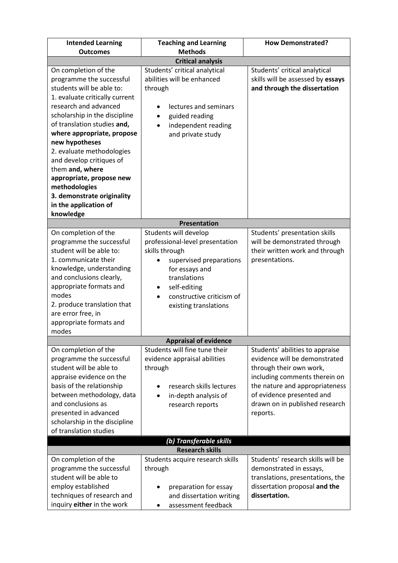| <b>Intended Learning</b><br><b>Outcomes</b>                                                                                                                                                                                                                                                                                                                                                                                   | <b>Teaching and Learning</b><br><b>Methods</b>                                                                                                                                                                     | <b>How Demonstrated?</b>                                                                                                                                                                                                                  |  |
|-------------------------------------------------------------------------------------------------------------------------------------------------------------------------------------------------------------------------------------------------------------------------------------------------------------------------------------------------------------------------------------------------------------------------------|--------------------------------------------------------------------------------------------------------------------------------------------------------------------------------------------------------------------|-------------------------------------------------------------------------------------------------------------------------------------------------------------------------------------------------------------------------------------------|--|
|                                                                                                                                                                                                                                                                                                                                                                                                                               |                                                                                                                                                                                                                    |                                                                                                                                                                                                                                           |  |
| On completion of the                                                                                                                                                                                                                                                                                                                                                                                                          | <b>Critical analysis</b><br>Students' critical analytical                                                                                                                                                          | Students' critical analytical                                                                                                                                                                                                             |  |
| programme the successful<br>students will be able to:<br>1. evaluate critically current<br>research and advanced<br>scholarship in the discipline<br>of translation studies and,<br>where appropriate, propose<br>new hypotheses<br>2. evaluate methodologies<br>and develop critiques of<br>them and, where<br>appropriate, propose new<br>methodologies<br>3. demonstrate originality<br>in the application of<br>knowledge | abilities will be enhanced<br>through<br>lectures and seminars<br>guided reading<br>independent reading<br>and private study                                                                                       | skills will be assessed by essays<br>and through the dissertation                                                                                                                                                                         |  |
|                                                                                                                                                                                                                                                                                                                                                                                                                               | Presentation                                                                                                                                                                                                       |                                                                                                                                                                                                                                           |  |
| On completion of the<br>programme the successful<br>student will be able to:<br>1. communicate their<br>knowledge, understanding<br>and conclusions clearly,<br>appropriate formats and<br>modes<br>2. produce translation that<br>are error free, in<br>appropriate formats and<br>modes                                                                                                                                     | Students will develop<br>professional-level presentation<br>skills through<br>supervised preparations<br>for essays and<br>translations<br>self-editing<br>٠<br>constructive criticism of<br>existing translations | Students' presentation skills<br>will be demonstrated through<br>their written work and through<br>presentations.                                                                                                                         |  |
|                                                                                                                                                                                                                                                                                                                                                                                                                               | <b>Appraisal of evidence</b>                                                                                                                                                                                       |                                                                                                                                                                                                                                           |  |
| On completion of the<br>programme the successful<br>student will be able to<br>appraise evidence on the<br>basis of the relationship<br>between methodology, data<br>and conclusions as<br>presented in advanced<br>scholarship in the discipline<br>of translation studies                                                                                                                                                   | Students will fine tune their<br>evidence appraisal abilities<br>through<br>research skills lectures<br>in-depth analysis of<br>٠<br>research reports                                                              | Students' abilities to appraise<br>evidence will be demonstrated<br>through their own work,<br>including comments therein on<br>the nature and appropriateness<br>of evidence presented and<br>drawn on in published research<br>reports. |  |
| (b) Transferable skills                                                                                                                                                                                                                                                                                                                                                                                                       |                                                                                                                                                                                                                    |                                                                                                                                                                                                                                           |  |
| On completion of the<br>programme the successful<br>student will be able to<br>employ established<br>techniques of research and<br>inquiry either in the work                                                                                                                                                                                                                                                                 | <b>Research skills</b><br>Students acquire research skills<br>through<br>preparation for essay<br>and dissertation writing<br>assessment feedback                                                                  | Students' research skills will be<br>demonstrated in essays,<br>translations, presentations, the<br>dissertation proposal and the<br>dissertation.                                                                                        |  |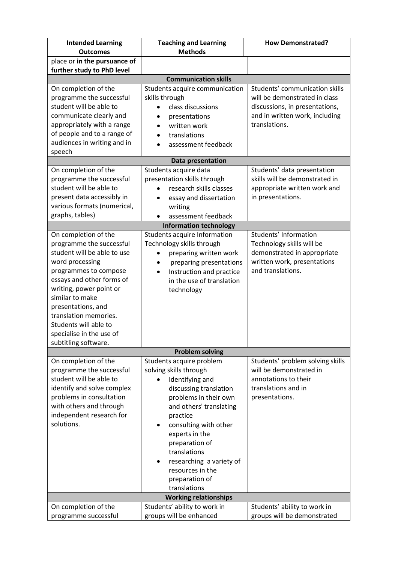| <b>Intended Learning</b>                                   | <b>Teaching and Learning</b>          | <b>How Demonstrated?</b>                         |  |
|------------------------------------------------------------|---------------------------------------|--------------------------------------------------|--|
| <b>Outcomes</b>                                            | <b>Methods</b>                        |                                                  |  |
| place or in the pursuance of<br>further study to PhD level |                                       |                                                  |  |
|                                                            | <b>Communication skills</b>           |                                                  |  |
| On completion of the                                       | Students acquire communication        | Students' communication skills                   |  |
| programme the successful                                   | skills through                        | will be demonstrated in class                    |  |
| student will be able to                                    | class discussions                     | discussions, in presentations,                   |  |
| communicate clearly and                                    | presentations                         | and in written work, including                   |  |
| appropriately with a range                                 | written work                          | translations.                                    |  |
| of people and to a range of                                | translations<br>$\bullet$             |                                                  |  |
| audiences in writing and in                                | assessment feedback                   |                                                  |  |
| speech                                                     |                                       |                                                  |  |
|                                                            | Data presentation                     |                                                  |  |
| On completion of the                                       | Students acquire data                 | Students' data presentation                      |  |
| programme the successful                                   | presentation skills through           | skills will be demonstrated in                   |  |
| student will be able to                                    | research skills classes               | appropriate written work and                     |  |
| present data accessibly in                                 | essay and dissertation                | in presentations.                                |  |
| various formats (numerical,                                | writing                               |                                                  |  |
| graphs, tables)                                            | assessment feedback                   |                                                  |  |
|                                                            | <b>Information technology</b>         |                                                  |  |
| On completion of the                                       | Students acquire Information          | Students' Information                            |  |
| programme the successful                                   | Technology skills through             | Technology skills will be                        |  |
| student will be able to use                                | preparing written work                | demonstrated in appropriate                      |  |
| word processing                                            | preparing presentations               | written work, presentations<br>and translations. |  |
| programmes to compose<br>essays and other forms of         | Instruction and practice<br>$\bullet$ |                                                  |  |
| writing, power point or                                    | in the use of translation             |                                                  |  |
| similar to make                                            | technology                            |                                                  |  |
| presentations, and                                         |                                       |                                                  |  |
| translation memories.                                      |                                       |                                                  |  |
| Students will able to                                      |                                       |                                                  |  |
| specialise in the use of                                   |                                       |                                                  |  |
| subtitling software.                                       |                                       |                                                  |  |
|                                                            | <b>Problem solving</b>                |                                                  |  |
| On completion of the                                       | Students acquire problem              | Students' problem solving skills                 |  |
| programme the successful                                   | solving skills through                | will be demonstrated in                          |  |
| student will be able to                                    | Identifying and<br>$\bullet$          | annotations to their                             |  |
| identify and solve complex                                 | discussing translation                | translations and in                              |  |
| problems in consultation                                   | problems in their own                 | presentations.                                   |  |
| with others and through                                    | and others' translating               |                                                  |  |
| independent research for                                   | practice                              |                                                  |  |
| solutions.                                                 | consulting with other<br>٠            |                                                  |  |
|                                                            | experts in the                        |                                                  |  |
|                                                            | preparation of                        |                                                  |  |
|                                                            | translations                          |                                                  |  |
|                                                            | researching a variety of<br>٠         |                                                  |  |
| resources in the                                           |                                       |                                                  |  |
|                                                            | preparation of                        |                                                  |  |
|                                                            | translations                          |                                                  |  |
| <b>Working relationships</b>                               |                                       |                                                  |  |
| On completion of the                                       | Students' ability to work in          | Students' ability to work in                     |  |
| programme successful                                       | groups will be enhanced               | groups will be demonstrated                      |  |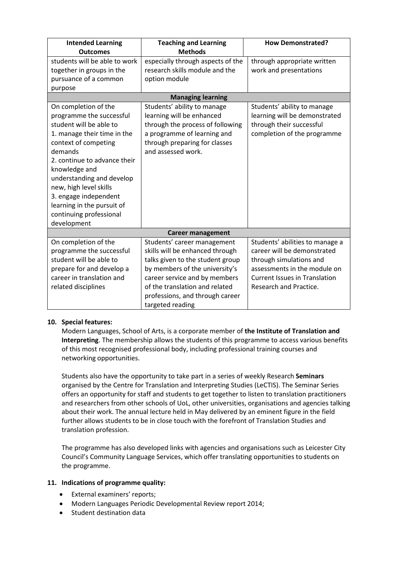| <b>Intended Learning</b>      | <b>Teaching and Learning</b>      | <b>How Demonstrated?</b>             |  |
|-------------------------------|-----------------------------------|--------------------------------------|--|
| <b>Outcomes</b>               | <b>Methods</b>                    |                                      |  |
| students will be able to work | especially through aspects of the | through appropriate written          |  |
| together in groups in the     | research skills module and the    | work and presentations               |  |
| pursuance of a common         | option module                     |                                      |  |
| purpose                       |                                   |                                      |  |
|                               | <b>Managing learning</b>          |                                      |  |
| On completion of the          | Students' ability to manage       | Students' ability to manage          |  |
| programme the successful      | learning will be enhanced         | learning will be demonstrated        |  |
| student will be able to       | through the process of following  | through their successful             |  |
| 1. manage their time in the   | a programme of learning and       | completion of the programme          |  |
| context of competing          | through preparing for classes     |                                      |  |
| demands                       | and assessed work.                |                                      |  |
| 2. continue to advance their  |                                   |                                      |  |
| knowledge and                 |                                   |                                      |  |
| understanding and develop     |                                   |                                      |  |
| new, high level skills        |                                   |                                      |  |
| 3. engage independent         |                                   |                                      |  |
| learning in the pursuit of    |                                   |                                      |  |
| continuing professional       |                                   |                                      |  |
| development                   |                                   |                                      |  |
| <b>Career management</b>      |                                   |                                      |  |
| On completion of the          | Students' career management       | Students' abilities to manage a      |  |
| programme the successful      | skills will be enhanced through   | career will be demonstrated          |  |
| student will be able to       | talks given to the student group  | through simulations and              |  |
| prepare for and develop a     | by members of the university's    | assessments in the module on         |  |
| career in translation and     | career service and by members     | <b>Current Issues in Translation</b> |  |
| related disciplines           | of the translation and related    | Research and Practice.               |  |
|                               | professions, and through career   |                                      |  |
|                               | targeted reading                  |                                      |  |

### **10. Special features:**

Modern Languages, School of Arts, is a corporate member of **the Institute of Translation and Interpreting**. The membership allows the students of this programme to access various benefits of this most recognised professional body, including professional training courses and networking opportunities.

Students also have the opportunity to take part in a series of weekly Research **Seminars** organised by the Centre for Translation and Interpreting Studies (LeCTIS). The Seminar Series offers an opportunity for staff and students to get together to listen to translation practitioners and researchers from other schools of UoL, other universities, organisations and agencies talking about their work. The annual lecture held in May delivered by an eminent figure in the field further allows students to be in close touch with the forefront of Translation Studies and translation profession.

The programme has also developed links with agencies and organisations such as Leicester City Council's Community Language Services, which offer translating opportunities to students on the programme.

#### **11. Indications of programme quality:**

- External examiners' reports;
- Modern Languages Periodic Developmental Review report 2014;
- Student destination data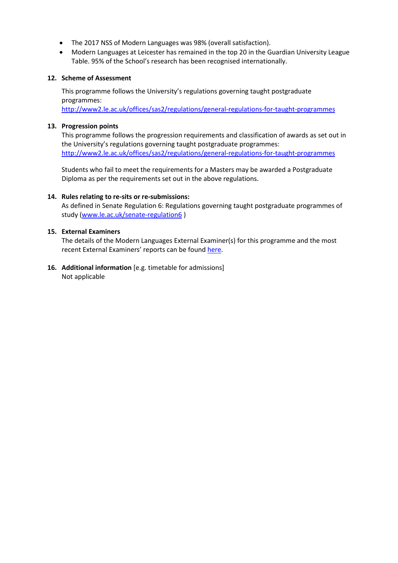- The 2017 NSS of Modern Languages was 98% (overall satisfaction).
- Modern Languages at Leicester has remained in the top 20 in the Guardian University League Table. 95% of the School's research has been recognised internationally.

#### **12. Scheme of Assessment**

This programme follows the University's regulations governing taught postgraduate programmes:

<http://www2.le.ac.uk/offices/sas2/regulations/general-regulations-for-taught-programmes>

#### **13. Progression points**

This programme follows the progression requirements and classification of awards as set out in the University's regulations governing taught postgraduate programmes: <http://www2.le.ac.uk/offices/sas2/regulations/general-regulations-for-taught-programmes>

Students who fail to meet the requirements for a Masters may be awarded a Postgraduate Diploma as per the requirements set out in the above regulations.

### **14. Rules relating to re-sits or re-submissions:**

As defined in Senate Regulation 6: Regulations governing taught postgraduate programmes of study [\(www.le.ac.uk/senate-regulation6](http://www.le.ac.uk/senate-regulation6))

### **15. External Examiners**

The details of the Modern Languages External Examiner(s) for this programme and the most recent External Examiners' reports can be found [here.](https://exampapers.le.ac.uk/xmlui/handle/123456789/224)

**16. Additional information** [e.g. timetable for admissions] Not applicable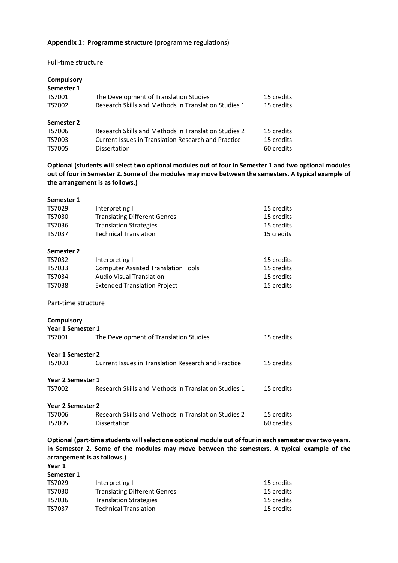#### **Appendix 1: Programme structure** (programme regulations)

#### Full-time structure

| Compulsory |                                                      |            |
|------------|------------------------------------------------------|------------|
| Semester 1 |                                                      |            |
| TS7001     | The Development of Translation Studies               | 15 credits |
| TS7002     | Research Skills and Methods in Translation Studies 1 | 15 credits |
| Semester 2 |                                                      |            |
| TS7006     | Research Skills and Methods in Translation Studies 2 | 15 credits |
| TS7003     | Current Issues in Translation Research and Practice  | 15 credits |
| TS7005     | Dissertation                                         | 60 credits |

**Optional (students will select two optional modules out of four in Semester 1 and two optional modules out of four in Semester 2. Some of the modules may move between the semesters. A typical example of the arrangement is as follows.)**

| Semester 1          |                                                      |            |
|---------------------|------------------------------------------------------|------------|
| TS7029              | Interpreting I                                       | 15 credits |
| TS7030              | <b>Translating Different Genres</b>                  | 15 credits |
| TS7036              | <b>Translation Strategies</b>                        | 15 credits |
| TS7037              | <b>Technical Translation</b>                         | 15 credits |
| Semester 2          |                                                      |            |
| TS7032              | Interpreting II                                      | 15 credits |
| TS7033              | <b>Computer Assisted Translation Tools</b>           | 15 credits |
| TS7034              | <b>Audio Visual Translation</b>                      | 15 credits |
| <b>TS7038</b>       | <b>Extended Translation Project</b>                  | 15 credits |
| Part-time structure |                                                      |            |
| <b>Compulsory</b>   |                                                      |            |
| Year 1 Semester 1   |                                                      |            |
| TS7001              | The Development of Translation Studies               | 15 credits |
| Year 1 Semester 2   |                                                      |            |
| TS7003              | Current Issues in Translation Research and Practice  | 15 credits |
| Year 2 Semester 1   |                                                      |            |
| TS7002              | Research Skills and Methods in Translation Studies 1 | 15 credits |
| Year 2 Semester 2   |                                                      |            |
| TS7006              | Research Skills and Methods in Translation Studies 2 | 15 credits |
| <b>TS7005</b>       | Dissertation                                         | 60 credits |
|                     |                                                      |            |

**Optional (part-time students will select one optional module out of four in each semester over two years. in Semester 2. Some of the modules may move between the semesters. A typical example of the arrangement is as follows.)**

**Year 1 Semester 1**

| JEIIIEJLEI T |                                     |            |
|--------------|-------------------------------------|------------|
| TS7029       | Interpreting I                      | 15 credits |
| TS7030       | <b>Translating Different Genres</b> | 15 credits |
| TS7036       | <b>Translation Strategies</b>       | 15 credits |
| TS7037       | <b>Technical Translation</b>        | 15 credits |
|              |                                     |            |